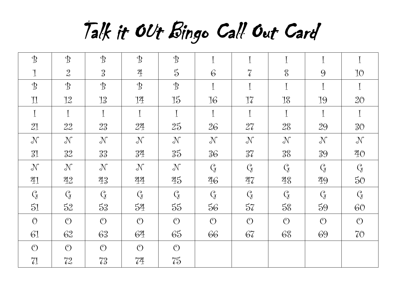Talk it OUt Bingo Call Out Card

| $\mathcal{B}$           | $\mathcal{B}$               | $\mathcal{B}$                | $\mathcal{B}$                | $\mathcal{B}$               | $\mathbf{r}$             |                             | $\mathbf T$     | $\mathbf I$       |                 |
|-------------------------|-----------------------------|------------------------------|------------------------------|-----------------------------|--------------------------|-----------------------------|-----------------|-------------------|-----------------|
| $\mathbf 1$             | $\mathfrak{L}$              | $\sqrt{3}$                   | $\overline{4}$               | $\vec{5}$                   | $\overline{6}$           | $\sqrt{\phantom{a}}$        | $\,$            | $\Theta$          | 10              |
| $\mathcal{B}$           | $\mathcal{B}$               | $\mathcal{B}$                | $\mathcal{B}$                | $\mathcal{B}$               | $\overline{1}$           | $\overline{1}$              | $\mathbf I$     | I                 | $\mathbf I$     |
| $\mathbb{1}$            | 12                          | 13                           | $14\,$                       | 15                          | $16\,$                   | 17                          | $18\,$          | 19                | $20^{\circ}$    |
| $\mathbf{I}$            | $\mathbf I$                 | $\mathbf I$                  | $\mathbf I$                  | $\mathbf{I}$                | $\mathbf{I}$             | $\mathbf I$                 | $\mathbf I$     | I                 | $\mathbf I$     |
| 21                      | 22                          | 23                           | 24                           | 25                          | 26                       | $27\,$                      | $28\,$          | 29                | $30^{\circ}$    |
| $\mathcal{N}$           | $\mathcal{N}$               | $\mathcal{N}$                | $\mathcal{N}$                | $\mathcal{N}$               | $\mathcal{N}$            | $\mathcal{N}$               | $\mathcal{N}$   | $\mathcal{N}$     | $\mathcal{N}$   |
| 31                      | $32^{\circ}$                | 33                           | $34\,$                       | $35^{\circ}$                | $36\,$                   | 37 <sup>°</sup>             | $\sqrt[9]{8}$   | $\sqrt[9]{9}$     | $20$            |
| $\mathcal{N}$           | $\mathcal{N}$               | $\mathcal{N}$                | $\mathcal{N}$                | $\mathcal{N}$               | $Q \choose \overline{J}$ | $\mathcal{C}_{\mathcal{J}}$ |                 | $\mathcal{C}_{J}$ |                 |
| $21$                    | $\frac{212}{10}$            | $\rm 23$                     | $22 \frac{1}{2}$             | $\frac{95}{10}$             | $\sqrt[2]{6}$            | $\sqrt[2]{\iota}$           | $\frac{21}{5}$  | 29                | $50^{\circ}$    |
| $\mathcal{C}_{\!\!\!J}$ | $\mathcal{C}_{\mathcal{J}}$ | $\mathcal{C}_{\overline{J}}$ | $\mathcal{C}_{\overline{J}}$ | $\mathcal{C}_{\mathcal{J}}$ |                          | $Q\llap/$                   | $Q\overline{g}$ |                   | $Q\!\!\!\;\;$   |
| 51                      | 52                          | $53$                         | $54\,$                       | $55$                        | $56\,$                   | $57$                        | $58\,$          | 59                | 60 <sup>°</sup> |
| $\circ$                 | $\circledcirc$              | $\circledcirc$               | $\circledcirc$               | $\circledcirc$              | $\circledcirc$           | $\circledcirc$              | $\circledcirc$  | $\circledcirc$    | $\circledcirc$  |
| 61                      | 62                          | 63                           | 64                           | 65                          | 66                       | 67                          | 68              | 69                | $70^{\circ}$    |
| $\circledcirc$          | $\circledcirc$              | $\circledcirc$               | $\circledcirc$               | $\circledcirc$              |                          |                             |                 |                   |                 |
| 71                      | 72                          | 73                           | $7^2$                        | $75^{\circ}$                |                          |                             |                 |                   |                 |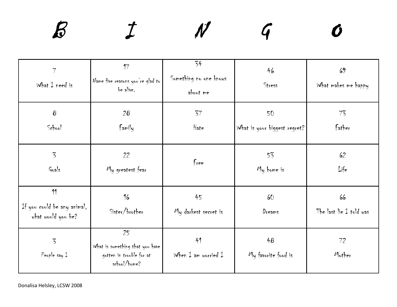| $7\overline{ }$<br>What $I$ need is                     | 17<br>Name five reasons you're glad to<br>be alive.                               | 34<br>Something no one knows<br>about me | 46<br>Stress                       | 69<br>What makes me happy     |
|---------------------------------------------------------|-----------------------------------------------------------------------------------|------------------------------------------|------------------------------------|-------------------------------|
| $\pmb{8}$<br>School                                     | 28<br>Family                                                                      | 37<br>Hate                               | 50<br>What is your biggest regret? | 73<br>Father                  |
| $\overline{5}$<br>Goals                                 | 22<br>My greatest fear                                                            | f <sub>ree</sub>                         | 53<br>My home is                   | 62<br>Life                    |
| 11<br>If you could be any animal,<br>what would you be? | 16<br>Sister/brother                                                              | 45<br>My darkest secret is               | 60<br>Dreams                       | 66<br>The last lie I told was |
| $\overline{5}$<br>People say $1$                        | 25<br>What is something that you have<br>gotten in trouble for at<br>school/home? | 41<br>When $I$ am worried $I$            | 48<br>My favorite food is          | 72<br>Mother                  |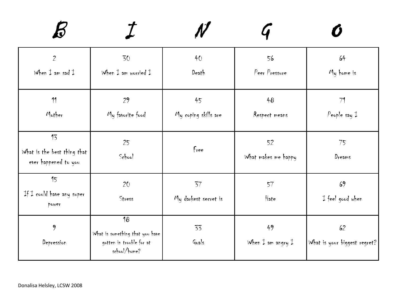| $\overline{2}$<br>When $\ddagger$ am sad $\ddagger$       | 30<br>When $I$ am worried $I$                                                     | 40<br>Death                | 56<br>Peer Pressure                       | 64<br>My home is                   |
|-----------------------------------------------------------|-----------------------------------------------------------------------------------|----------------------------|-------------------------------------------|------------------------------------|
| 11<br>Mother                                              | 29<br>My favorite food                                                            | 45<br>My coping skills are | 48<br>Respect means                       | 71<br>People say $1$               |
| 13<br>What is the best thing that<br>ever happened to you | 25<br>School                                                                      | f <sub>ree</sub>           | 52<br>What makes me happy                 | 75<br>Dreams                       |
| 15<br>If I could have any super<br>power                  | 20<br>Stress                                                                      | 37<br>My darkest secret is | 57<br>Hate                                | 69<br>I feel good when             |
| 9<br>Depression                                           | 18<br>What is something that you have<br>gotten in trouble for at<br>school/home? | 33<br>Goals                | 49<br>When $\ddagger$ am angry $\ddagger$ | 62<br>What is your biggest regret? |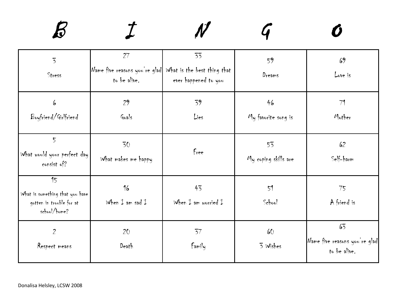| $\overline{5}$<br>Stress                                                          | 27<br>Name five reasons you're glad What is the best thing that<br>to be alive. | 33<br>ever happened to you    | 59<br>Dreams               | 69<br>Love is                                       |
|-----------------------------------------------------------------------------------|---------------------------------------------------------------------------------|-------------------------------|----------------------------|-----------------------------------------------------|
| 6<br>Boyfriend/Girlfriend                                                         | 29<br>Goals                                                                     | 39<br>Lies                    | 46<br>My favorite song is  | 71<br>Mother                                        |
| 5 <sup>5</sup><br>What would your perfect day<br>consist of?                      | 30<br>What makes me happy                                                       | free                          | 53<br>My coping skills are | 62<br>Self-harm                                     |
| 15<br>What is something that you have<br>gotten in trouble for at<br>school/home? | 16<br>When $\frac{1}{k}$ am sad $\frac{1}{k}$                                   | 43<br>When $I$ am worried $I$ | 51<br>School               | 75<br>A friend is                                   |
| $\overline{2}$<br>Respect means                                                   | 20<br>Death                                                                     | 37<br>Family                  | 60<br>3 Wishes             | 63<br>Name five reasons you're glad<br>to be alive. |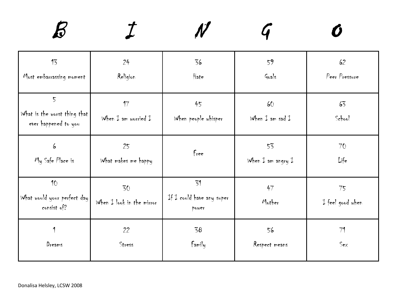| 13                                                                     | 24                              | 36                                       | 59                                      | 62                     |
|------------------------------------------------------------------------|---------------------------------|------------------------------------------|-----------------------------------------|------------------------|
| Most embarrassing moment                                               | Religion                        | Hate                                     | Goals                                   | Peer Pressure          |
| $\overline{5}$<br>What is the worst thing that<br>ever happened to you | 17<br>When $I$ am worried $I$   | 45<br>When people whisper                | 60<br>When $\ddagger$ am sad $\ddagger$ | 63<br>School           |
| 6                                                                      | 25                              | f <sub>ree</sub>                         | 53                                      | 70                     |
| My Safe Place is                                                       | What makes me happy             |                                          | When $\ddagger$ am angry $\ddagger$     | Life                   |
| 10<br>What would your perfect day<br>consist of?                       | 30<br>When I look in the mirror | 31<br>If I could have any super<br>power | 47<br>Mother                            | 75<br>I feel good when |
| 1                                                                      | 22                              | 58                                       | 56                                      | 71                     |
| Dreams                                                                 | Stress                          | Family                                   | Respect means                           | $S_{ex}$               |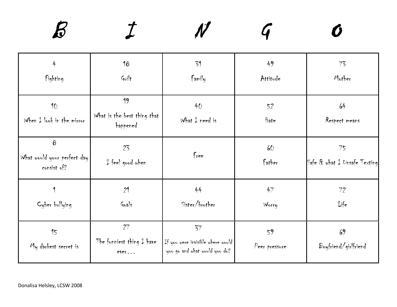| $\ddot{+}$                                             | 18                                               | 31                                                                       | 49                  | 73                                 |
|--------------------------------------------------------|--------------------------------------------------|--------------------------------------------------------------------------|---------------------|------------------------------------|
| Fighting                                               | Guilt                                            | Family                                                                   | Attitude            | Mother                             |
| 10<br>When $I$ look in the mirror                      | 19<br>What is the best thing that<br>happened    | 40<br>What $I$ need is                                                   | 52<br>Hate          | 64<br>Respect means                |
| $\bf{8}$<br>What would your perfect day<br>consist of? | 23<br>I feel good when                           | f <sub>ree</sub>                                                         | 60<br>father        | 75<br>Safe & what I Unsafe Texting |
| Cyber bullying                                         | 21<br>Goals                                      | 44<br>Sister/brother                                                     | 47<br>Worry         | 72<br>Life                         |
| 15<br>My darkest secret is                             | 27<br>The funniest thing $\ddagger$ have<br>ever | 37<br>If you were invisible where would<br>you go and what would you do? | 59<br>Peer pressure | 69<br>Boyfriend/girlfriend         |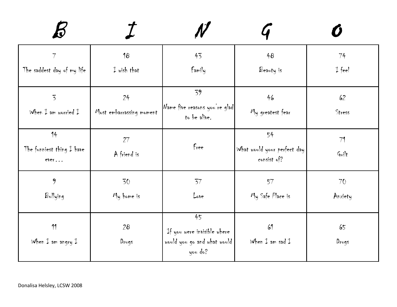| 7                                   | 18                       | 43                                                                    | 48                                         | 74                |
|-------------------------------------|--------------------------|-----------------------------------------------------------------------|--------------------------------------------|-------------------|
| The saddest day of my life          | $I$ wish that            | Family                                                                | Beauty is                                  | $\downarrow$ feel |
| $\overline{5}$                      | 24                       | 39                                                                    | 46                                         | 62                |
| When $I$ am worried $I$             | Most embarrassing moment | Name five reasons you're glad<br>to be alive.                         | My greatest fear                           | Stress            |
| 14                                  | 27                       |                                                                       | 54                                         | 71                |
| The funniest thing I have<br>ever   | A friend is              | Free                                                                  | What would your perfect day<br>consist of? | Guilt             |
| 9                                   | 30                       | 37                                                                    | 57                                         | 70                |
| Bullying                            | My home is               | Love                                                                  | My Safe Place is                           | Anxiety           |
| 11                                  | 28                       | 45                                                                    | 61                                         | 65                |
| When $\ddagger$ am angry $\ddagger$ | Drugs                    | If you were invisible where<br>would you go and what would<br>you do? | When $\ddagger$ am sad $\ddagger$          | Drugs             |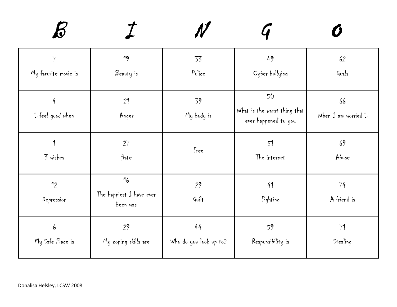| $7\overline{ }$       | 19                                           | 33                     | 49                                                         | 62                                          |
|-----------------------|----------------------------------------------|------------------------|------------------------------------------------------------|---------------------------------------------|
| My favorite movie is  | Beauty is                                    | P <sub>olice</sub>     | Cyber bullying                                             | Goals                                       |
| 4<br>I feel good when | 21<br>Anger                                  | 39<br>My body is       | 50<br>What is the worst thing that<br>ever happened to you | 66<br>When $\ddagger$ am worried $\ddagger$ |
| 1                     | 27                                           | free                   | 51                                                         | 69                                          |
| 3 wishes              | Hate                                         |                        | The internet                                               | Abuse                                       |
| 12<br>Depression      | 16<br>The happiest $I$ have ever<br>been was | 29<br>Guilt            | 41<br>fighting                                             | 74<br>A friend is                           |
| 6                     | 29                                           | 44                     | 59                                                         | 71                                          |
| My Safe Place is      | My coping skills are                         | Who do you look up to? | Responsibility is                                          | Stealing                                    |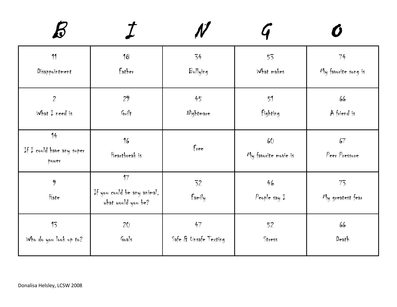| 11                                       | 18                                                      | 34                    | 53                          | 74                     |
|------------------------------------------|---------------------------------------------------------|-----------------------|-----------------------------|------------------------|
| Disappointment                           | father                                                  | Bullying              | What makes                  | My favorite song is    |
| $\overline{2}$                           | 29                                                      | 45                    | 51                          | 66                     |
| What $I$ need is                         | Guilt                                                   | Nightmare             | fighting                    | A friend is            |
| 14<br>If I could have any super<br>power | 16<br>Heartbreak is                                     | free                  | 60<br>My favorite movie is  | 67<br>Peer Pressure    |
| 9<br>Hate                                | 17<br>If you could be any animal,<br>what would you be? | 52<br>Family          | 46<br>People say $\ddagger$ | 73<br>My greatest fear |
| 13                                       | 20                                                      | 47                    | 52                          | 66                     |
| Who do you look up to?                   | Goals                                                   | Safe & Unsafe Texting | Stress                      | Death                  |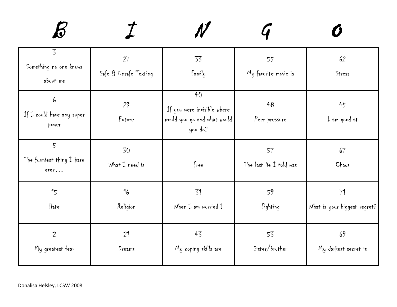| $\overline{5}$<br>Something no one knows<br>about me | 27<br>Safe & Unsafe Texting | 33<br>Family                                                                | 55<br>My favorite movie is    | 62<br>Stress                       |
|------------------------------------------------------|-----------------------------|-----------------------------------------------------------------------------|-------------------------------|------------------------------------|
| 6<br>If I could have any super<br>power              | 29<br>Future                | 40<br>If you were invisible where<br>would you go and what would<br>you do? | 48<br>Peer pressure           | 45<br>$\downarrow$ am good at      |
| $5\overline{)}$<br>The funniest thing I have<br>ever | 30<br>What $I$ need is      | Free                                                                        | 57<br>The last lie I told was | 67<br>Chaos                        |
| 15<br>Hate                                           | 16<br>Religion              | 51<br>When $I$ am worried $I$                                               | 59<br>fighting                | 71<br>What is your biggest regret? |
| $\overline{2}$<br>My greatest fear                   | 21<br>Dreams                | 43<br>My coping skills are                                                  | 53<br>Sister/brother          | 69<br>My darkest secret is         |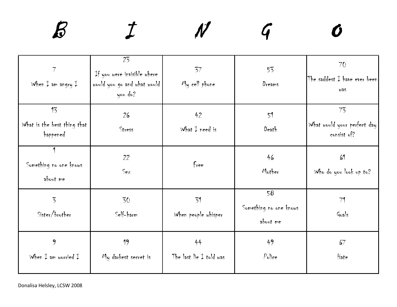| 7<br>When $\ddagger$ am angry $\ddagger$      | 23<br>If you were invisible where<br>would you go and what would<br>you do? | 37<br>My cell phone           | 53<br>Dreams                             | 70<br>The saddest $I$ have ever been<br>was      |
|-----------------------------------------------|-----------------------------------------------------------------------------|-------------------------------|------------------------------------------|--------------------------------------------------|
| 13<br>What is the best thing that<br>happened | 26<br>Stress                                                                | 42<br>What $\ddagger$ need is | 51<br>Death                              | 73<br>What would your perfect day<br>consist of? |
| 1<br>Something no one knows<br>about me       | 22<br>SeX                                                                   | free                          | 46<br>Mother                             | 61<br>Who do you look up to?                     |
| $\overline{5}$<br>Sister/brother              | 30<br>Self-harm                                                             | 31<br>When people whisper     | 58<br>Something no one knows<br>about me | 71<br>Goals                                      |
| 9<br>When $I$ am worried $I$                  | 19<br>My darkest secret is                                                  | 44<br>The last lie I told was | 49<br>P <sub>olice</sub>                 | 67<br>Hate                                       |